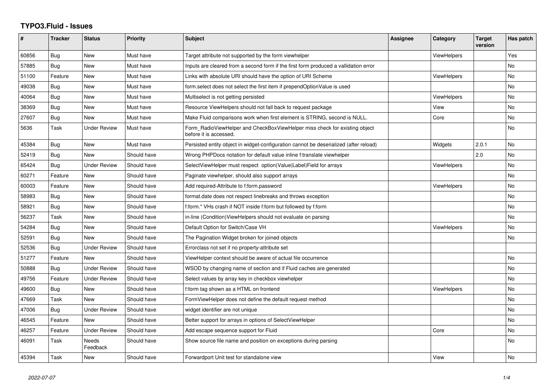## **TYPO3.Fluid - Issues**

| #     | <b>Tracker</b> | <b>Status</b>       | <b>Priority</b> | <b>Subject</b>                                                                                       | <b>Assignee</b> | Category           | <b>Target</b><br>version | Has patch |
|-------|----------------|---------------------|-----------------|------------------------------------------------------------------------------------------------------|-----------------|--------------------|--------------------------|-----------|
| 60856 | Bug            | <b>New</b>          | Must have       | Target attribute not supported by the form viewhelper                                                |                 | <b>ViewHelpers</b> |                          | Yes       |
| 57885 | Bug            | <b>New</b>          | Must have       | Inputs are cleared from a second form if the first form produced a vallidation error                 |                 |                    |                          | <b>No</b> |
| 51100 | Feature        | <b>New</b>          | Must have       | Links with absolute URI should have the option of URI Scheme                                         |                 | <b>ViewHelpers</b> |                          | No        |
| 49038 | Bug            | <b>New</b>          | Must have       | form.select does not select the first item if prependOptionValue is used                             |                 |                    |                          | <b>No</b> |
| 40064 | Bug            | New                 | Must have       | Multiselect is not getting persisted                                                                 |                 | <b>ViewHelpers</b> |                          | No        |
| 38369 | Bug            | <b>New</b>          | Must have       | Resource ViewHelpers should not fall back to request package                                         |                 | View               |                          | <b>No</b> |
| 27607 | Bug            | New                 | Must have       | Make Fluid comparisons work when first element is STRING, second is NULL.                            |                 | Core               |                          | No        |
| 5636  | Task           | <b>Under Review</b> | Must have       | Form RadioViewHelper and CheckBoxViewHelper miss check for existing object<br>before it is accessed. |                 |                    |                          | <b>No</b> |
| 45384 | Bug            | <b>New</b>          | Must have       | Persisted entity object in widget-configuration cannot be deserialized (after reload)                |                 | Widgets            | 2.0.1                    | <b>No</b> |
| 52419 | Bug            | <b>New</b>          | Should have     | Wrong PHPDocs notation for default value inline f:translate viewhelper                               |                 |                    | 2.0                      | <b>No</b> |
| 65424 | Bug            | <b>Under Review</b> | Should have     | SelectViewHelper must respect option(Value Label)Field for arrays                                    |                 | <b>ViewHelpers</b> |                          | <b>No</b> |
| 60271 | Feature        | New                 | Should have     | Paginate viewhelper, should also support arrays                                                      |                 |                    |                          | <b>No</b> |
| 60003 | Feature        | <b>New</b>          | Should have     | Add required-Attribute to f:form.password                                                            |                 | <b>ViewHelpers</b> |                          | No        |
| 58983 | Bug            | New                 | Should have     | format.date does not respect linebreaks and throws exception                                         |                 |                    |                          | No        |
| 58921 | Bug            | New                 | Should have     | f:form.* VHs crash if NOT inside f:form but followed by f:form                                       |                 |                    |                          | No        |
| 56237 | Task           | New                 | Should have     | in-line (Condition) View Helpers should not evaluate on parsing                                      |                 |                    |                          | <b>No</b> |
| 54284 | Bug            | New                 | Should have     | Default Option for Switch/Case VH                                                                    |                 | ViewHelpers        |                          | <b>No</b> |
| 52591 | Bug            | <b>New</b>          | Should have     | The Pagination Widget broken for joined objects                                                      |                 |                    |                          | No        |
| 52536 | Bug            | <b>Under Review</b> | Should have     | Errorclass not set if no property-attribute set                                                      |                 |                    |                          |           |
| 51277 | Feature        | <b>New</b>          | Should have     | ViewHelper context should be aware of actual file occurrence                                         |                 |                    |                          | <b>No</b> |
| 50888 | Bug            | <b>Under Review</b> | Should have     | WSOD by changing name of section and if Fluid caches are generated                                   |                 |                    |                          | No        |
| 49756 | Feature        | <b>Under Review</b> | Should have     | Select values by array key in checkbox viewhelper                                                    |                 |                    |                          | No        |
| 49600 | Bug            | <b>New</b>          | Should have     | f:form tag shown as a HTML on frontend                                                               |                 | <b>ViewHelpers</b> |                          | <b>No</b> |
| 47669 | Task           | <b>New</b>          | Should have     | FormViewHelper does not define the default request method                                            |                 |                    |                          | No        |
| 47006 | Bug            | <b>Under Review</b> | Should have     | widget identifier are not unique                                                                     |                 |                    |                          | No        |
| 46545 | Feature        | <b>New</b>          | Should have     | Better support for arrays in options of SelectViewHelper                                             |                 |                    |                          | <b>No</b> |
| 46257 | Feature        | <b>Under Review</b> | Should have     | Add escape sequence support for Fluid                                                                |                 | Core               |                          | No        |
| 46091 | Task           | Needs<br>Feedback   | Should have     | Show source file name and position on exceptions during parsing                                      |                 |                    |                          | <b>No</b> |
| 45394 | Task           | New                 | Should have     | Forwardport Unit test for standalone view                                                            |                 | View               |                          | No        |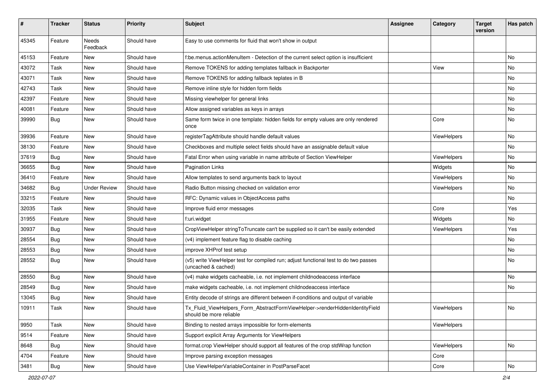| #     | <b>Tracker</b> | <b>Status</b>            | <b>Priority</b> | Subject                                                                                                     | <b>Assignee</b> | Category    | <b>Target</b><br>version | Has patch |
|-------|----------------|--------------------------|-----------------|-------------------------------------------------------------------------------------------------------------|-----------------|-------------|--------------------------|-----------|
| 45345 | Feature        | <b>Needs</b><br>Feedback | Should have     | Easy to use comments for fluid that won't show in output                                                    |                 |             |                          |           |
| 45153 | Feature        | New                      | Should have     | f:be.menus.actionMenuItem - Detection of the current select option is insufficient                          |                 |             |                          | No        |
| 43072 | Task           | New                      | Should have     | Remove TOKENS for adding templates fallback in Backporter                                                   |                 | View        |                          | No        |
| 43071 | Task           | New                      | Should have     | Remove TOKENS for adding fallback teplates in B                                                             |                 |             |                          | No        |
| 42743 | Task           | New                      | Should have     | Remove inline style for hidden form fields                                                                  |                 |             |                          | No.       |
| 42397 | Feature        | New                      | Should have     | Missing viewhelper for general links                                                                        |                 |             |                          | No        |
| 40081 | Feature        | New                      | Should have     | Allow assigned variables as keys in arrays                                                                  |                 |             |                          | No        |
| 39990 | Bug            | New                      | Should have     | Same form twice in one template: hidden fields for empty values are only rendered<br>once                   |                 | Core        |                          | No        |
| 39936 | Feature        | New                      | Should have     | registerTagAttribute should handle default values                                                           |                 | ViewHelpers |                          | No        |
| 38130 | Feature        | New                      | Should have     | Checkboxes and multiple select fields should have an assignable default value                               |                 |             |                          | No        |
| 37619 | Bug            | New                      | Should have     | Fatal Error when using variable in name attribute of Section ViewHelper                                     |                 | ViewHelpers |                          | No        |
| 36655 | Bug            | <b>New</b>               | Should have     | <b>Pagination Links</b>                                                                                     |                 | Widgets     |                          | No        |
| 36410 | Feature        | New                      | Should have     | Allow templates to send arguments back to layout                                                            |                 | ViewHelpers |                          | No        |
| 34682 | Bug            | <b>Under Review</b>      | Should have     | Radio Button missing checked on validation error                                                            |                 | ViewHelpers |                          | No        |
| 33215 | Feature        | New                      | Should have     | RFC: Dynamic values in ObjectAccess paths                                                                   |                 |             |                          | No.       |
| 32035 | Task           | New                      | Should have     | Improve fluid error messages                                                                                |                 | Core        |                          | Yes       |
| 31955 | Feature        | New                      | Should have     | f:uri.widget                                                                                                |                 | Widgets     |                          | No        |
| 30937 | Bug            | New                      | Should have     | CropViewHelper stringToTruncate can't be supplied so it can't be easily extended                            |                 | ViewHelpers |                          | Yes       |
| 28554 | Bug            | New                      | Should have     | (v4) implement feature flag to disable caching                                                              |                 |             |                          | No.       |
| 28553 | Bug            | New                      | Should have     | improve XHProf test setup                                                                                   |                 |             |                          | No        |
| 28552 | Bug            | New                      | Should have     | (v5) write ViewHelper test for compiled run; adjust functional test to do two passes<br>(uncached & cached) |                 |             |                          | No        |
| 28550 | Bug            | New                      | Should have     | (v4) make widgets cacheable, i.e. not implement childnodeaccess interface                                   |                 |             |                          | No        |
| 28549 | Bug            | New                      | Should have     | make widgets cacheable, i.e. not implement childnodeaccess interface                                        |                 |             |                          | No        |
| 13045 | Bug            | New                      | Should have     | Entity decode of strings are different between if-conditions and output of variable                         |                 |             |                          |           |
| 10911 | Task           | New                      | Should have     | Tx_Fluid_ViewHelpers_Form_AbstractFormViewHelper->renderHiddenIdentityField<br>should be more reliable      |                 | ViewHelpers |                          | No        |
| 9950  | Task           | New                      | Should have     | Binding to nested arrays impossible for form-elements                                                       |                 | ViewHelpers |                          |           |
| 9514  | Feature        | New                      | Should have     | Support explicit Array Arguments for ViewHelpers                                                            |                 |             |                          |           |
| 8648  | Bug            | New                      | Should have     | format.crop ViewHelper should support all features of the crop stdWrap function                             |                 | ViewHelpers |                          | No        |
| 4704  | Feature        | New                      | Should have     | Improve parsing exception messages                                                                          |                 | Core        |                          |           |
| 3481  | <b>Bug</b>     | New                      | Should have     | Use ViewHelperVariableContainer in PostParseFacet                                                           |                 | Core        |                          | No        |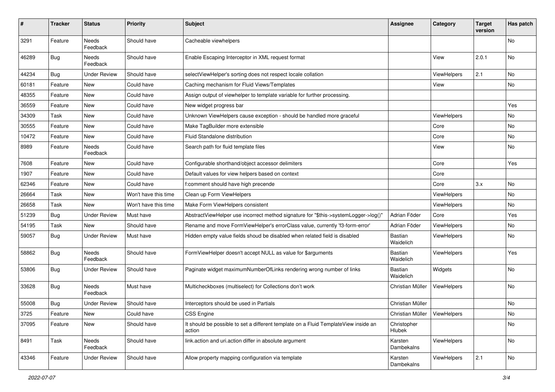| #     | <b>Tracker</b> | <b>Status</b>            | <b>Priority</b>      | <b>Subject</b>                                                                                | <b>Assignee</b>                | Category    | <b>Target</b><br>version | Has patch |
|-------|----------------|--------------------------|----------------------|-----------------------------------------------------------------------------------------------|--------------------------------|-------------|--------------------------|-----------|
| 3291  | Feature        | <b>Needs</b><br>Feedback | Should have          | Cacheable viewhelpers                                                                         |                                |             |                          | No        |
| 46289 | Bug            | Needs<br>Feedback        | Should have          | Enable Escaping Interceptor in XML request format                                             |                                | View        | 2.0.1                    | No        |
| 44234 | Bug            | <b>Under Review</b>      | Should have          | selectViewHelper's sorting does not respect locale collation                                  |                                | ViewHelpers | 2.1                      | No        |
| 60181 | Feature        | <b>New</b>               | Could have           | Caching mechanism for Fluid Views/Templates                                                   |                                | View        |                          | No        |
| 48355 | Feature        | New                      | Could have           | Assign output of viewhelper to template variable for further processing.                      |                                |             |                          |           |
| 36559 | Feature        | New                      | Could have           | New widget progress bar                                                                       |                                |             |                          | Yes       |
| 34309 | Task           | New                      | Could have           | Unknown ViewHelpers cause exception - should be handled more graceful                         |                                | ViewHelpers |                          | No        |
| 30555 | Feature        | New                      | Could have           | Make TagBuilder more extensible                                                               |                                | Core        |                          | No        |
| 10472 | Feature        | New                      | Could have           | <b>Fluid Standalone distribution</b>                                                          |                                | Core        |                          | No        |
| 8989  | Feature        | Needs<br>Feedback        | Could have           | Search path for fluid template files                                                          |                                | View        |                          | No        |
| 7608  | Feature        | <b>New</b>               | Could have           | Configurable shorthand/object accessor delimiters                                             |                                | Core        |                          | Yes       |
| 1907  | Feature        | New                      | Could have           | Default values for view helpers based on context                                              |                                | Core        |                          |           |
| 62346 | Feature        | New                      | Could have           | f:comment should have high precende                                                           |                                | Core        | 3.x                      | No        |
| 26664 | Task           | New                      | Won't have this time | Clean up Form ViewHelpers                                                                     |                                | ViewHelpers |                          | No        |
| 26658 | Task           | New                      | Won't have this time | Make Form ViewHelpers consistent                                                              |                                | ViewHelpers |                          | No        |
| 51239 | Bug            | <b>Under Review</b>      | Must have            | AbstractViewHelper use incorrect method signature for "\$this->systemLogger->log()"           | Adrian Föder                   | Core        |                          | Yes       |
| 54195 | Task           | New                      | Should have          | Rename and move FormViewHelper's errorClass value, currently 'f3-form-error'                  | Adrian Föder                   | ViewHelpers |                          | No        |
| 59057 | Bug            | <b>Under Review</b>      | Must have            | Hidden empty value fields shoud be disabled when related field is disabled                    | Bastian<br>Waidelich           | ViewHelpers |                          | No        |
| 58862 | Bug            | Needs<br>Feedback        | Should have          | FormViewHelper doesn't accept NULL as value for \$arguments                                   | Bastian<br>Waidelich           | ViewHelpers |                          | Yes       |
| 53806 | Bug            | Under Review             | Should have          | Paginate widget maximumNumberOfLinks rendering wrong number of links                          | Bastian<br>Waidelich           | Widgets     |                          | No        |
| 33628 | Bug            | Needs<br>Feedback        | Must have            | Multicheckboxes (multiselect) for Collections don't work                                      | Christian Müller               | ViewHelpers |                          | No        |
| 55008 | Bug            | <b>Under Review</b>      | Should have          | Interceptors should be used in Partials                                                       | Christian Müller               |             |                          | No        |
| 3725  | Feature        | New                      | Could have           | CSS Engine                                                                                    | Christian Müller   ViewHelpers |             |                          | No        |
| 37095 | Feature        | New                      | Should have          | It should be possible to set a different template on a Fluid TemplateView inside an<br>action | Christopher<br>Hlubek          |             |                          | No        |
| 8491  | Task           | Needs<br>Feedback        | Should have          | link.action and uri.action differ in absolute argument                                        | Karsten<br>Dambekalns          | ViewHelpers |                          | No        |
| 43346 | Feature        | <b>Under Review</b>      | Should have          | Allow property mapping configuration via template                                             | Karsten<br>Dambekalns          | ViewHelpers | 2.1                      | No        |